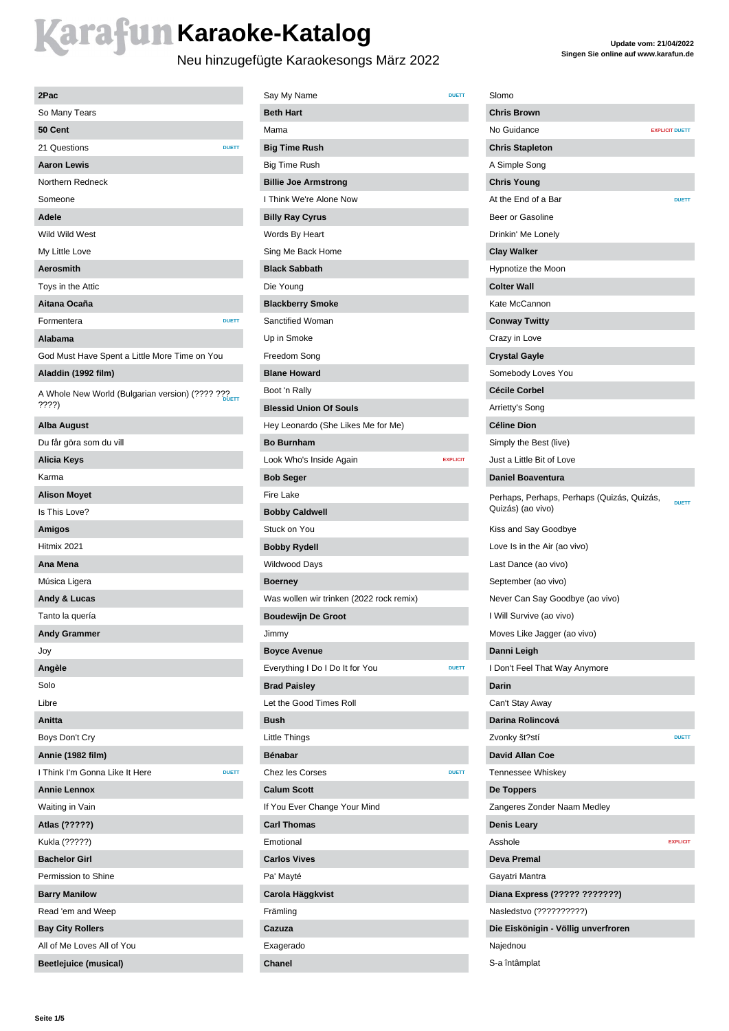### **Karafun Karaoke-Katalog**

### Neu hinzugefügte Karaokesongs März 2022

| 2Pac                                                     |
|----------------------------------------------------------|
| So Many Tears                                            |
| 50 Cent                                                  |
| 21 Questions<br><b>DUETT</b>                             |
| <b>Aaron Lewis</b>                                       |
| Northern Redneck                                         |
| Someone                                                  |
| Adele                                                    |
| Wild Wild West                                           |
| My Little Love                                           |
| <b>Aerosmith</b>                                         |
| Toys in the Attic                                        |
| Aitana Ocaña                                             |
| Formentera<br><b>DUETT</b>                               |
| Alabama                                                  |
| God Must Have Spent a Little More Time on You            |
| Aladdin (1992 film)                                      |
| A Whole New World (Bulgarian version) (???? ???<br>7777) |
| <b>Alba August</b>                                       |
| Du får göra som du vill                                  |
| <b>Alicia Keys</b>                                       |
| Karma                                                    |
| <b>Alison Moyet</b>                                      |
| Is This Love?                                            |
| <b>Amigos</b>                                            |
| Hitmix 2021                                              |
| Ana Mena                                                 |
| Música Ligera                                            |
| Andy & Lucas                                             |
| Tanto la quería                                          |
| <b>Andy Grammer</b>                                      |
| Joy                                                      |
| Angèle                                                   |
| Solo                                                     |
| Libre                                                    |
| Anitta                                                   |
| Boys Don't Cry                                           |
| Annie (1982 film)                                        |
| I Think I'm Gonna Like It Here<br><b>DUETT</b>           |
| <b>Annie Lennox</b>                                      |
| Waiting in Vain                                          |
| Atlas (?????)                                            |
| Kukla (?????)                                            |
| <b>Bachelor Girl</b>                                     |
| Permission to Shine                                      |
| <b>Barry Manilow</b>                                     |
| Read 'em and Weep                                        |
| <b>Bay City Rollers</b>                                  |
| All of Me Loves All of You                               |
| <b>Beetlejuice (musical)</b>                             |
|                                                          |

| Say My Name                              | <b>DUETT</b>    |
|------------------------------------------|-----------------|
| <b>Beth Hart</b>                         |                 |
| Mama                                     |                 |
| <b>Big Time Rush</b>                     |                 |
| <b>Big Time Rush</b>                     |                 |
| <b>Billie Joe Armstrong</b>              |                 |
| I Think We're Alone Now                  |                 |
| <b>Billy Ray Cyrus</b>                   |                 |
| Words By Heart                           |                 |
| Sing Me Back Home                        |                 |
| <b>Black Sabbath</b>                     |                 |
| Die Young                                |                 |
| <b>Blackberry Smoke</b>                  |                 |
| Sanctified Woman                         |                 |
| Up in Smoke                              |                 |
| Freedom Song                             |                 |
| <b>Blane Howard</b>                      |                 |
| Boot 'n Rally                            |                 |
| <b>Blessid Union Of Souls</b>            |                 |
| Hey Leonardo (She Likes Me for Me)       |                 |
| <b>Bo Burnham</b>                        |                 |
| Look Who's Inside Again                  | <b>EXPLICIT</b> |
| <b>Bob Seger</b>                         |                 |
| Fire Lake                                |                 |
| <b>Bobby Caldwell</b>                    |                 |
| Stuck on You                             |                 |
| <b>Bobby Rydell</b>                      |                 |
| Wildwood Days                            |                 |
|                                          |                 |
| <b>Boerney</b>                           |                 |
| Was wollen wir trinken (2022 rock remix) |                 |
| <b>Boudewijn De Groot</b>                |                 |
| Jimmy                                    |                 |
| <b>Boyce Avenue</b>                      |                 |
| Everything I Do I Do It for You          | <b>DUETT</b>    |
| <b>Brad Paisley</b>                      |                 |
| Let the Good Times Roll                  |                 |
| Bush                                     |                 |
| Little Things                            |                 |
| <b>Bénabar</b>                           |                 |
| <b>Chez les Corses</b>                   | <b>DUETT</b>    |
| <b>Calum Scott</b>                       |                 |
| If You Ever Change Your Mind             |                 |
| <b>Carl Thomas</b>                       |                 |
| Emotional                                |                 |
| <b>Carlos Vives</b>                      |                 |
| Pa' Mayté                                |                 |
| Carola Häggkvist                         |                 |
| Främling                                 |                 |
| Cazuza                                   |                 |
| Exagerado                                |                 |
| Chanel                                   |                 |

| Slomo                                                           |                       |
|-----------------------------------------------------------------|-----------------------|
| <b>Chris Brown</b>                                              |                       |
| No Guidance                                                     | <b>EXPLICIT DUETT</b> |
| <b>Chris Stapleton</b>                                          |                       |
| A Simple Song                                                   |                       |
| <b>Chris Young</b>                                              |                       |
| At the End of a Bar                                             | <b>DUETT</b>          |
| Beer or Gasoline                                                |                       |
| Drinkin' Me Lonely                                              |                       |
| <b>Clay Walker</b>                                              |                       |
| Hypnotize the Moon                                              |                       |
| <b>Colter Wall</b>                                              |                       |
| Kate McCannon                                                   |                       |
| <b>Conway Twitty</b>                                            |                       |
| Crazy in Love                                                   |                       |
| <b>Crystal Gayle</b>                                            |                       |
| Somebody Loves You                                              |                       |
| <b>Cécile Corbel</b>                                            |                       |
| Arrietty's Song                                                 |                       |
| <b>Céline Dion</b>                                              |                       |
| Simply the Best (live)                                          |                       |
| Just a Little Bit of Love                                       |                       |
| <b>Daniel Boaventura</b>                                        |                       |
| Perhaps, Perhaps, Perhaps (Quizás, Quizás,<br>Quizás) (ao vivo) | <b>DUETT</b>          |
| Kiss and Say Goodbye                                            |                       |
| Love Is in the Air (ao vivo)                                    |                       |
| Last Dance (ao vivo)                                            |                       |
| September (ao vivo)                                             |                       |
| Never Can Say Goodbye (ao vivo)                                 |                       |
| I Will Survive (ao vivo)                                        |                       |
| Moves Like Jagger (ao vivo)                                     |                       |
| Danni Leigh                                                     |                       |
| I Don't Feel That Way Anymore                                   |                       |
| <b>Darin</b>                                                    |                       |
| Can't Stay Away                                                 |                       |
| Darina Rolincová                                                |                       |
| Zvonky št?stí                                                   | <b>DUETT</b>          |
| <b>David Allan Coe</b>                                          |                       |
| Tennessee Whiskey                                               |                       |
| De Toppers                                                      |                       |
| Zangeres Zonder Naam Medley                                     |                       |
| <b>Denis Leary</b>                                              |                       |
| Asshole                                                         | <b>EXPLICIT</b>       |
| <b>Deva Premal</b>                                              |                       |
| Gayatri Mantra                                                  |                       |
| Diana Express (????? ???????)                                   |                       |
| Nasledstvo (??????????)                                         |                       |
| Die Eiskönigin - Völlig unverfroren                             |                       |
| Najednou                                                        |                       |
| S-a întâmplat                                                   |                       |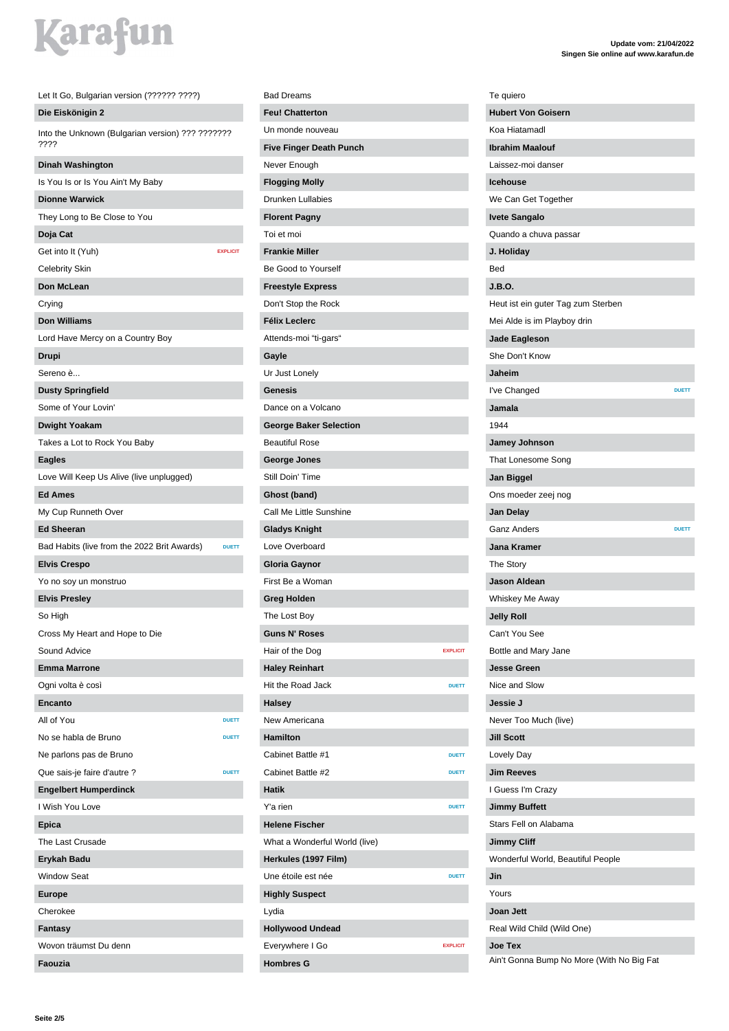| Let It Go, Bulgarian version (?????? ????)                  |
|-------------------------------------------------------------|
| Die Eiskönigin 2                                            |
| Into the Unknown (Bulgarian version) ??? ???????<br>????    |
| Dinah Washington                                            |
| Is You Is or Is You Ain't My Baby                           |
| <b>Dionne Warwick</b>                                       |
| They Long to Be Close to You                                |
| Doja Cat                                                    |
| Get into It (Yuh)<br><b>EXPLICIT</b>                        |
| <b>Celebrity Skin</b>                                       |
| Don McLean                                                  |
| Crying                                                      |
| <b>Don Williams</b>                                         |
| Lord Have Mercy on a Country Boy                            |
| Drupi                                                       |
| Sereno è                                                    |
| <b>Dusty Springfield</b>                                    |
| Some of Your Lovin'                                         |
| <b>Dwight Yoakam</b>                                        |
| Takes a Lot to Rock You Baby                                |
| <b>Eagles</b>                                               |
| Love Will Keep Us Alive (live unplugged)                    |
| <b>Ed Ames</b>                                              |
| My Cup Runneth Over                                         |
| <b>Ed Sheeran</b>                                           |
| Bad Habits (live from the 2022 Brit Awards)<br><b>DUETT</b> |
| <b>Elvis Crespo</b>                                         |
| Yo no soy un monstruo                                       |
| <b>Elvis Presley</b>                                        |
| So High                                                     |
| Cross My Heart and Hope to Die                              |
| Sound Advice                                                |
| <b>Emma Marrone</b>                                         |
| Ogni volta è così                                           |
| Encanto                                                     |
| All of You<br><b>DUETT</b>                                  |
| No se habla de Bruno<br><b>DUETT</b>                        |
| Ne parlons pas de Bruno                                     |
| Que sais-ie faire d'autre ?<br><b>DUETT</b>                 |
| <b>Engelbert Humperdinck</b>                                |
| I Wish You Love                                             |
| Epica                                                       |
| The Last Crusade                                            |
| Erykah Badu                                                 |
| <b>Window Seat</b>                                          |
|                                                             |
| <b>Europe</b>                                               |
| Cherokee                                                    |
| Fantasy<br>Wovon träumst Du denn                            |
| Faouzia                                                     |
|                                                             |

### Bad Dreams **Feu! Chatterton** Un monde nouveau **Five Finger Death Punch** Never Enough **Flogging Molly** Drunken Lullabies **Florent Pagny** Toi et moi **Frankie Miller** Be Good to Yourself **Freestyle Express** Don't Stop the Rock **Félix Leclerc** Attends-moi "ti-gars" **Gayle** Ur Just Lonely **Genesis** Dance on a Volcano **George Baker Selection** Beautiful Rose **George Jones** Still Doin' Time **Ghost (band)** Call Me Little Sunshine **Gladys Knight** Love Overboard **Gloria Gaynor** First Be a Woman **Greg Holden** The Lost Boy **Guns N' Roses** Hair of the Dog **EXPLICIT Haley Reinhart** Hit the Road Jack **DUETT Halsey** New Americana **Hamilton** Cabinet Battle #1 **DUETT** Cabinet Battle #2 **DUETT Hatik** Y'a rien **DUETT Helene Fischer** What a Wonderful World (live) **Herkules (1997 Film)** Une étoile est née **DUETT Highly Suspect** Lydia **Hollywood Undead** Everywhere I Go **EXPLICIT Hombres G**

| Te quiero                                    |  |
|----------------------------------------------|--|
| <b>Hubert Von Goisern</b>                    |  |
| Koa Hiatamadl                                |  |
| <b>Ibrahim Maalouf</b>                       |  |
| Laissez-moi danser                           |  |
| <b>Icehouse</b>                              |  |
| We Can Get Together                          |  |
| <b>Ivete Sangalo</b>                         |  |
| Quando a chuva passar                        |  |
| J. Holiday                                   |  |
| Bed                                          |  |
| J.B.O.                                       |  |
| Heut ist ein guter Tag zum Sterben           |  |
| Mei Alde is im Playboy drin                  |  |
| Jade Eagleson                                |  |
| She Don't Know                               |  |
| Jaheim                                       |  |
| I've Changed<br><b>DUETT</b>                 |  |
| Jamala                                       |  |
| 1944                                         |  |
| Jamey Johnson                                |  |
| That Lonesome Song                           |  |
| Jan Biggel                                   |  |
| Ons moeder zeej nog                          |  |
| Jan Delay                                    |  |
| <b>Ganz Anders</b><br><b>DUETT</b>           |  |
| Jana Kramer                                  |  |
| <b>The Story</b>                             |  |
| <b>Jason Aldean</b>                          |  |
| Whiskey Me Away                              |  |
| <b>Jelly Roll</b>                            |  |
| Can't You See                                |  |
| Bottle and Mary Jane                         |  |
|                                              |  |
| <b>Jesse Green</b>                           |  |
| Nice and Slow                                |  |
| Jessie J                                     |  |
|                                              |  |
| Never Too Much (live)                        |  |
| <b>Jill Scott</b>                            |  |
| Lovely Day<br><b>Jim Reeves</b>              |  |
|                                              |  |
| I Guess I'm Crazy                            |  |
| <b>Jimmy Buffett</b>                         |  |
| Stars Fell on Alabama                        |  |
| <b>Jimmy Cliff</b>                           |  |
| Wonderful World, Beautiful People            |  |
| Jin                                          |  |
| Yours                                        |  |
| Joan Jett                                    |  |
| Real Wild Child (Wild One)<br><b>Joe Tex</b> |  |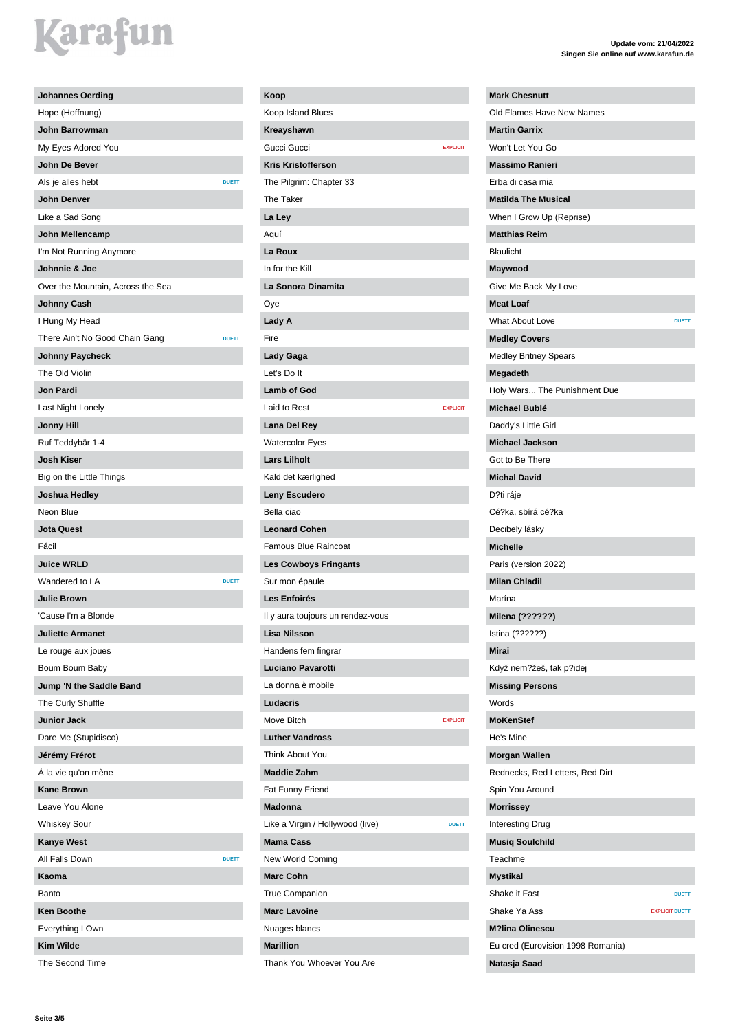| <b>Johannes Oerding</b>                        |
|------------------------------------------------|
| Hope (Hoffnung)                                |
| John Barrowman                                 |
| My Eyes Adored You                             |
| John De Bever                                  |
| Als je alles hebt<br><b>DUETT</b>              |
| John Denver                                    |
| Like a Sad Song                                |
| John Mellencamp                                |
| I'm Not Running Anymore                        |
| Johnnie & Joe                                  |
| Over the Mountain, Across the Sea              |
| <b>Johnny Cash</b>                             |
| I Hung My Head                                 |
| There Ain't No Good Chain Gang<br><b>DUETT</b> |
| Johnny Paycheck                                |
| The Old Violin                                 |
| Jon Pardi                                      |
| Last Night Lonely                              |
| <b>Jonny Hill</b>                              |
| Ruf Teddybär 1-4                               |
| Josh Kiser                                     |
| Big on the Little Things                       |
| Joshua Hedley                                  |
| Neon Blue                                      |
| <b>Jota Quest</b>                              |
| Fácil                                          |
| <b>Juice WRLD</b>                              |
| Wandered to LA<br><b>DUETT</b>                 |
| <b>Julie Brown</b>                             |
| 'Cause I'm a Blonde                            |
| <b>Juliette Armanet</b>                        |
| Le rouge aux joues                             |
| Boum Boum Baby                                 |
| Jump 'N the Saddle Band                        |
| The Curly Shuffle                              |
| <b>Junior Jack</b>                             |
| Dare Me (Stupidisco)                           |
| Jérémy Frérot                                  |
| A la vie qu'on mène                            |
| <b>Kane Brown</b>                              |
| Leave You Alone                                |
| <b>Whiskey Sour</b>                            |
| <b>Kanye West</b>                              |
| All Falls Down<br><b>DUETT</b>                 |
| Kaoma                                          |
| Banto                                          |
| <b>Ken Boothe</b>                              |
| Everything I Own                               |
| <b>Kim Wilde</b>                               |
| The Second Time                                |

| Koop                              |                 |
|-----------------------------------|-----------------|
| Koop Island Blues                 |                 |
| Kreayshawn                        |                 |
| Gucci Gucci                       | <b>EXPLICIT</b> |
| <b>Kris Kristofferson</b>         |                 |
| The Pilgrim: Chapter 33           |                 |
| The Taker                         |                 |
| La Ley                            |                 |
| Aquí                              |                 |
| La Roux                           |                 |
| In for the Kill                   |                 |
| La Sonora Dinamita                |                 |
| Oye                               |                 |
| Lady A                            |                 |
| Fire                              |                 |
| Lady Gaga                         |                 |
| Let's Do It                       |                 |
| <b>Lamb of God</b>                |                 |
| Laid to Rest                      | <b>EXPLICIT</b> |
| Lana Del Rey                      |                 |
| <b>Watercolor Eyes</b>            |                 |
| <b>Lars Lilholt</b>               |                 |
| Kald det kærlighed                |                 |
| Leny Escudero                     |                 |
| Bella ciao                        |                 |
| <b>Leonard Cohen</b>              |                 |
| <b>Famous Blue Raincoat</b>       |                 |
| <b>Les Cowboys Fringants</b>      |                 |
| Sur mon épaule                    |                 |
| Les Enfoirés                      |                 |
| Il y aura toujours un rendez-vous |                 |
| Lisa Nilsson                      |                 |
| Handens fem fingrar               |                 |
| <b>Luciano Pavarotti</b>          |                 |
| La donna è mobile                 |                 |
| Ludacris                          |                 |
| Move Bitch                        | <b>EXPLICIT</b> |
| <b>Luther Vandross</b>            |                 |
| Think About You                   |                 |
| <b>Maddie Zahm</b>                |                 |
| Fat Funny Friend                  |                 |
| <b>Madonna</b>                    |                 |
| Like a Virgin / Hollywood (live)  | <b>DUETT</b>    |
| <b>Mama Cass</b>                  |                 |
| New World Coming                  |                 |
| <b>Marc Cohn</b>                  |                 |
| <b>True Companion</b>             |                 |
| <b>Marc Lavoine</b>               |                 |
| Nuages blancs                     |                 |
| <b>Marillion</b>                  |                 |
| Thank You Whoever You Are         |                 |

#### **Update vom: 21/04/2022 Singen Sie online auf www.karafun.de**

| <b>Mark Chesnutt</b>              |                       |
|-----------------------------------|-----------------------|
| Old Flames Have New Names         |                       |
| <b>Martin Garrix</b>              |                       |
| Won't Let You Go                  |                       |
| <b>Massimo Ranieri</b>            |                       |
| Erba di casa mia                  |                       |
| <b>Matilda The Musical</b>        |                       |
| When I Grow Up (Reprise)          |                       |
| <b>Matthias Reim</b>              |                       |
| <b>Blaulicht</b>                  |                       |
| Maywood                           |                       |
| Give Me Back My Love              |                       |
| <b>Meat Loaf</b>                  |                       |
| <b>What About Love</b>            | <b>DUETT</b>          |
| <b>Medley Covers</b>              |                       |
| <b>Medley Britney Spears</b>      |                       |
| Megadeth                          |                       |
| Holy Wars The Punishment Due      |                       |
| Michael Bublé                     |                       |
| Daddy's Little Girl               |                       |
| <b>Michael Jackson</b>            |                       |
| Got to Be There                   |                       |
| <b>Michal David</b>               |                       |
| D?ti ráje                         |                       |
| Cé?ka, sbírá cé?ka                |                       |
| Decibely lásky                    |                       |
| <b>Michelle</b>                   |                       |
| Paris (version 2022)              |                       |
| <b>Milan Chladil</b>              |                       |
| Marína                            |                       |
| Milena (??????)                   |                       |
| Istina (??????)                   |                       |
| Mirai                             |                       |
| Když nem?žeš, tak p?idej          |                       |
| <b>Missing Persons</b>            |                       |
| Words                             |                       |
| <b>MoKenStef</b>                  |                       |
| He's Mine                         |                       |
| <b>Morgan Wallen</b>              |                       |
| Rednecks, Red Letters, Red Dirt   |                       |
| Spin You Around                   |                       |
| <b>Morrissey</b>                  |                       |
| Interesting Drug                  |                       |
| <b>Musiq Soulchild</b>            |                       |
| Teachme                           |                       |
| <b>Mystikal</b>                   |                       |
| Shake it Fast                     | <b>DUETT</b>          |
| Shake Ya Ass                      | <b>EXPLICIT DUETT</b> |
| <b>M?lina Olinescu</b>            |                       |
| Eu cred (Eurovision 1998 Romania) |                       |
| Natasja Saad                      |                       |
|                                   |                       |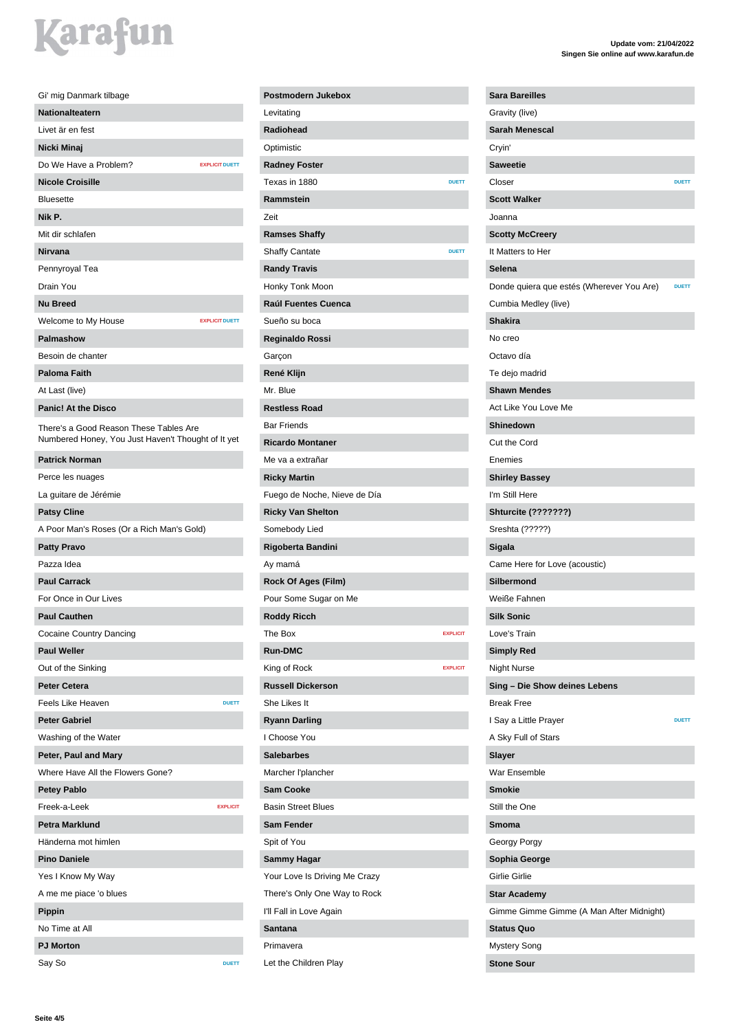| Gi' mig Danmark tilbage                                                                      |
|----------------------------------------------------------------------------------------------|
| <b>Nationalteatern</b>                                                                       |
| Livet är en fest                                                                             |
| Nicki Minaj                                                                                  |
| Do We Have a Problem?<br><b>EXPLICIT DUETT</b>                                               |
| <b>Nicole Croisille</b>                                                                      |
| <b>Bluesette</b>                                                                             |
| Nik P.                                                                                       |
| Mit dir schlafen                                                                             |
| Nirvana                                                                                      |
| Pennyroyal Tea                                                                               |
| Drain You                                                                                    |
| <b>Nu Breed</b>                                                                              |
| Welcome to My House<br><b>EXPLICIT DUETT</b>                                                 |
| <b>Palmashow</b>                                                                             |
| Besoin de chanter                                                                            |
| <b>Paloma Faith</b>                                                                          |
| At Last (live)                                                                               |
| <b>Panic! At the Disco</b>                                                                   |
| There's a Good Reason These Tables Are<br>Numbered Honey, You Just Haven't Thought of It yet |
| <b>Patrick Norman</b>                                                                        |
| Perce les nuages                                                                             |
| La guitare de Jérémie                                                                        |
| <b>Patsy Cline</b>                                                                           |
| A Poor Man's Roses (Or a Rich Man's Gold)                                                    |
| <b>Patty Pravo</b>                                                                           |
| Pazza Idea                                                                                   |
| <b>Paul Carrack</b>                                                                          |
| For Once in Our Lives                                                                        |
| <b>Paul Cauthen</b>                                                                          |
| Cocaine Country Dancing                                                                      |
| <b>Paul Weller</b>                                                                           |
| Out of the Sinking                                                                           |
| <b>Peter Cetera</b>                                                                          |
| Feels Like Heaven<br><b>DUETT</b>                                                            |
| <b>Peter Gabriel</b>                                                                         |
| Washing of the Water                                                                         |
| Peter, Paul and Mary                                                                         |
| Where Have All the Flowers Gone?                                                             |
| <b>Petey Pablo</b>                                                                           |
| Freek-a-Leek<br><b>EXPLICIT</b>                                                              |
| <b>Petra Marklund</b>                                                                        |
| Händerna mot himlen                                                                          |
| <b>Pino Daniele</b>                                                                          |
| Yes I Know My Way                                                                            |
| A me me piace 'o blues                                                                       |
| Pippin                                                                                       |
| No Time at All                                                                               |
| <b>PJ Morton</b>                                                                             |
| Say So<br><b>DUETT</b>                                                                       |
|                                                                                              |

| Postmodern Jukebox            |                 |
|-------------------------------|-----------------|
| Levitating                    |                 |
| <b>Radiohead</b>              |                 |
| Optimistic                    |                 |
| <b>Radney Foster</b>          |                 |
| Texas in 1880                 | <b>DUETT</b>    |
| Rammstein                     |                 |
| Zeit                          |                 |
| <b>Ramses Shaffy</b>          |                 |
| Shaffy Cantate                | <b>DUETT</b>    |
| <b>Randy Travis</b>           |                 |
| Honky Tonk Moon               |                 |
| Raúl Fuentes Cuenca           |                 |
| Sueño su boca                 |                 |
| Reginaldo Rossi               |                 |
| Garçon                        |                 |
| René Klijn                    |                 |
| Mr. Blue                      |                 |
| <b>Restless Road</b>          |                 |
| <b>Bar Friends</b>            |                 |
| <b>Ricardo Montaner</b>       |                 |
| Me va a extrañar              |                 |
| <b>Ricky Martin</b>           |                 |
| Fuego de Noche, Nieve de Día  |                 |
| <b>Ricky Van Shelton</b>      |                 |
|                               |                 |
| Somebody Lied                 |                 |
| Rigoberta Bandini<br>Ay mamá  |                 |
|                               |                 |
| <b>Rock Of Ages (Film)</b>    |                 |
| Pour Some Sugar on Me         |                 |
| <b>Roddy Ricch</b>            |                 |
| The Box                       | <b>EXPLICIT</b> |
| <b>Run-DMC</b>                |                 |
| King of Rock                  | <b>EXPLICIT</b> |
| <b>Russell Dickerson</b>      |                 |
| She Likes It                  |                 |
| <b>Ryann Darling</b>          |                 |
| I Choose You                  |                 |
| <b>Salebarbes</b>             |                 |
| Marcher l'plancher            |                 |
| <b>Sam Cooke</b>              |                 |
| <b>Basin Street Blues</b>     |                 |
| <b>Sam Fender</b>             |                 |
| Spit of You                   |                 |
| <b>Sammy Hagar</b>            |                 |
| Your Love Is Driving Me Crazy |                 |
| There's Only One Way to Rock  |                 |
| I'll Fall in Love Again       |                 |
| Santana                       |                 |
| Primavera                     |                 |
| Let the Children Play         |                 |

#### **Update vom: 21/04/2022 Singen Sie online auf www.karafun.de**

| <b>Sara Bareilles</b>                     |              |
|-------------------------------------------|--------------|
| Gravity (live)                            |              |
| Sarah Menescal                            |              |
| Cryin'                                    |              |
| <b>Saweetie</b>                           |              |
| Closer                                    | <b>DUETT</b> |
| <b>Scott Walker</b>                       |              |
| Joanna                                    |              |
| <b>Scotty McCreery</b>                    |              |
| It Matters to Her                         |              |
| Selena                                    |              |
| Donde quiera que estés (Wherever You Are) | <b>DUETT</b> |
| Cumbia Medley (live)                      |              |
| <b>Shakira</b>                            |              |
| No creo                                   |              |
| Octavo día                                |              |
| Te dejo madrid                            |              |
| <b>Shawn Mendes</b>                       |              |
| Act Like You Love Me                      |              |
| <b>Shinedown</b>                          |              |
| Cut the Cord                              |              |
| Enemies                                   |              |
| <b>Shirley Bassey</b>                     |              |
| I'm Still Here                            |              |
| <b>Shturcite (???????)</b>                |              |
| Sreshta (?????)                           |              |
| Sigala                                    |              |
| Came Here for Love (acoustic)             |              |
| <b>Silbermond</b>                         |              |
| Weiße Fahnen                              |              |
| <b>Silk Sonic</b>                         |              |
| Love's Train                              |              |
|                                           |              |
| <b>Simply Red</b><br><b>Night Nurse</b>   |              |
|                                           |              |
| Sing - Die Show deines Lebens             |              |
| <b>Break Free</b>                         |              |
| I Say a Little Prayer                     | <b>DUETT</b> |
| A Sky Full of Stars                       |              |
| Slayer                                    |              |
| War Ensemble                              |              |
| <b>Smokie</b>                             |              |
| Still the One                             |              |
| Smoma                                     |              |
| Georgy Porgy                              |              |
| Sophia George                             |              |
| <b>Girlie Girlie</b>                      |              |
| <b>Star Academy</b>                       |              |
| Gimme Gimme Gimme (A Man After Midnight)  |              |
| <b>Status Quo</b>                         |              |
| Mystery Song                              |              |
| <b>Stone Sour</b>                         |              |